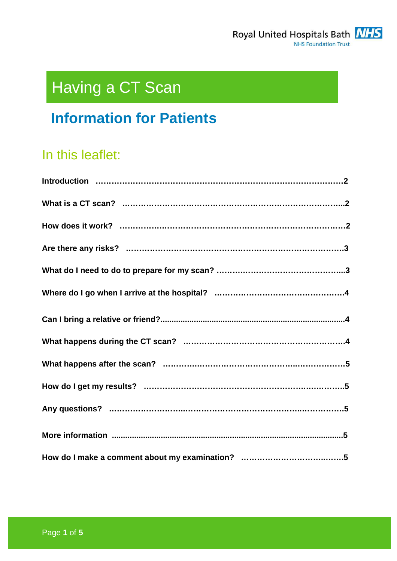

# Having a CT Scan

## **Information for Patients**

## In this leaflet: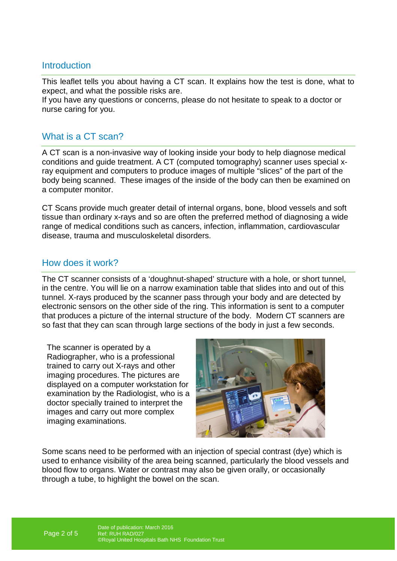## **Introduction**

This leaflet tells you about having a CT scan. It explains how the test is done, what to expect, and what the possible risks are.

If you have any questions or concerns, please do not hesitate to speak to a doctor or nurse caring for you.

## What is a CT scan?

A CT scan is a non-invasive way of looking inside your body to help diagnose medical conditions and guide treatment. A CT (computed tomography) scanner uses special xray equipment and computers to produce images of multiple "slices" of the part of the body being scanned. These images of the inside of the body can then be examined on a computer monitor.

CT Scans provide much greater detail of internal organs, bone, blood vessels and soft tissue than ordinary x-rays and so are often the preferred method of diagnosing a wide range of medical conditions such as cancers, infection, inflammation, cardiovascular disease, trauma and musculoskeletal disorders.

## How does it work?

The CT scanner consists of a 'doughnut-shaped' structure with a hole, or short tunnel, in the centre. You will lie on a narrow examination table that slides into and out of this tunnel. X-rays produced by the scanner pass through your body and are detected by electronic sensors on the other side of the ring. This information is sent to a computer that produces a picture of the internal structure of the body. Modern CT scanners are so fast that they can scan through large sections of the body in just a few seconds.

The scanner is operated by a Radiographer, who is a professional trained to carry out X-rays and other imaging procedures. The pictures are displayed on a computer workstation for examination by the Radiologist, who is a doctor specially trained to interpret the images and carry out more complex imaging examinations.



Some scans need to be performed with an injection of special contrast (dye) which is used to enhance visibility of the area being scanned, particularly the blood vessels and blood flow to organs. Water or contrast may also be given orally, or occasionally through a tube, to highlight the bowel on the scan.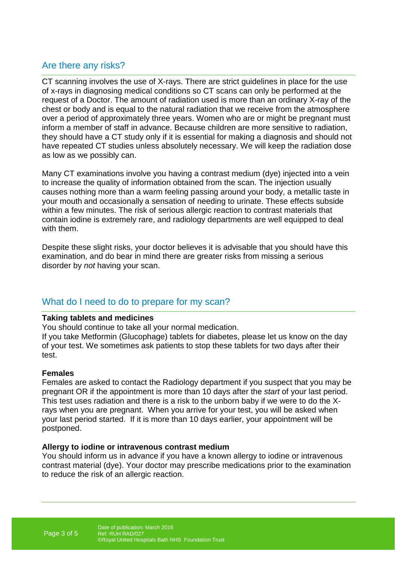## Are there any risks?

CT scanning involves the use of X-rays. There are strict guidelines in place for the use of x-rays in diagnosing medical conditions so CT scans can only be performed at the request of a Doctor. The amount of radiation used is more than an ordinary X-ray of the chest or body and is equal to the natural radiation that we receive from the atmosphere over a period of approximately three years. Women who are or might be pregnant must inform a member of staff in advance. Because children are more sensitive to radiation, they should have a CT study only if it is essential for making a diagnosis and should not have repeated CT studies unless absolutely necessary. We will keep the radiation dose as low as we possibly can.

Many CT examinations involve you having a contrast medium (dye) injected into a vein to increase the quality of information obtained from the scan. The injection usually causes nothing more than a warm feeling passing around your body, a metallic taste in your mouth and occasionally a sensation of needing to urinate. These effects subside within a few minutes. The risk of serious allergic reaction to contrast materials that contain iodine is extremely rare, and radiology departments are well equipped to deal with them.

Despite these slight risks, your doctor believes it is advisable that you should have this examination, and do bear in mind there are greater risks from missing a serious disorder by not having your scan.

## What do I need to do to prepare for my scan?

#### **Taking tablets and medicines**

You should continue to take all your normal medication.

If you take Metformin (Glucophage) tablets for diabetes, please let us know on the day of your test. We sometimes ask patients to stop these tablets for two days after their test.

#### **Females**

Females are asked to contact the Radiology department if you suspect that you may be pregnant OR if the appointment is more than 10 days after the start of your last period. This test uses radiation and there is a risk to the unborn baby if we were to do the Xrays when you are pregnant. When you arrive for your test, you will be asked when your last period started. If it is more than 10 days earlier, your appointment will be postponed.

#### **Allergy to iodine or intravenous contrast medium**

You should inform us in advance if you have a known allergy to iodine or intravenous contrast material (dye). Your doctor may prescribe medications prior to the examination to reduce the risk of an allergic reaction.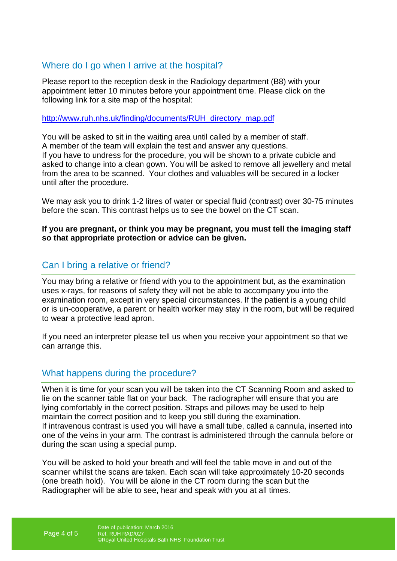## Where do I go when I arrive at the hospital?

Please report to the reception desk in the Radiology department (B8) with your appointment letter 10 minutes before your appointment time. Please click on the following link for a site map of the hospital:

http://www.ruh.nhs.uk/finding/documents/RUH\_directory\_map.pdf

You will be asked to sit in the waiting area until called by a member of staff. A member of the team will explain the test and answer any questions. If you have to undress for the procedure, you will be shown to a private cubicle and asked to change into a clean gown. You will be asked to remove all jewellery and metal from the area to be scanned. Your clothes and valuables will be secured in a locker until after the procedure.

We may ask you to drink 1-2 litres of water or special fluid (contrast) over 30-75 minutes before the scan. This contrast helps us to see the bowel on the CT scan.

**If you are pregnant, or think you may be pregnant, you must tell the imaging staff so that appropriate protection or advice can be given.** 

## Can I bring a relative or friend?

You may bring a relative or friend with you to the appointment but, as the examination uses x-rays, for reasons of safety they will not be able to accompany you into the examination room, except in very special circumstances. If the patient is a young child or is un-cooperative, a parent or health worker may stay in the room, but will be required to wear a protective lead apron.

If you need an interpreter please tell us when you receive your appointment so that we can arrange this.

## What happens during the procedure?

When it is time for your scan you will be taken into the CT Scanning Room and asked to lie on the scanner table flat on your back. The radiographer will ensure that you are lying comfortably in the correct position. Straps and pillows may be used to help maintain the correct position and to keep you still during the examination. If intravenous contrast is used you will have a small tube, called a cannula, inserted into one of the veins in your arm. The contrast is administered through the cannula before or during the scan using a special pump.

You will be asked to hold your breath and will feel the table move in and out of the scanner whilst the scans are taken. Each scan will take approximately 10-20 seconds (one breath hold). You will be alone in the CT room during the scan but the Radiographer will be able to see, hear and speak with you at all times.